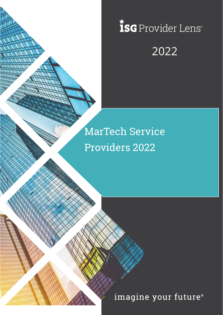# *isc* Provider Lens 2022

# MarTech Service Providers 2022

Copyright © 2019, Information Services Group, Inc. All Rights Reserved. 1

imagine your future®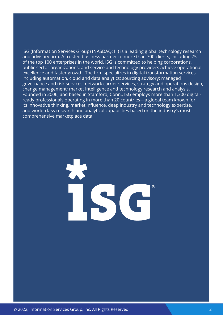ISG (Information Services Group) (NASDAQ: III) is a leading global technology research and advisory firm. A trusted business partner to more than 700 clients, including 75 of the top 100 enterprises in the world, ISG is committed to helping corporations, public sector organizations, and service and technology providers achieve operational excellence and faster growth. The firm specializes in digital transformation services, including automation, cloud and data analytics; sourcing advisory; managed governance and risk services; network carrier services; strategy and operations design; change management; market intelligence and technology research and analysis. Founded in 2006, and based in Stamford, Conn., ISG employs more than 1,300 digitalready professionals operating in more than 20 countries—a global team known for its innovative thinking, market influence, deep industry and technology expertise, and world-class research and analytical capabilities based on the industry's most comprehensive marketplace data.

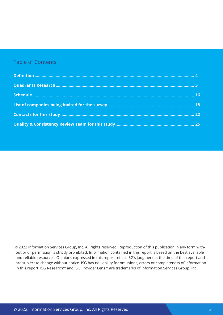### Table of Contents

© 2022 Information Services Group, Inc. All rights reserved. Reproduction of this publication in any form without prior permission is strictly prohibited. Information contained in this report is based on the best available and reliable resources. Opinions expressed in this report reflect ISG's judgment at the time of this report and are subject to change without notice. ISG has no liability for omissions, errors or completeness of information in this report. ISG Research™ and ISG Provider Lens™ are trademarks of Information Services Group, Inc.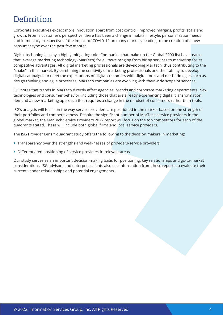# <span id="page-3-0"></span>**Definition**

Corporate executives expect more innovation apart from cost control, improved margins, profits, scale and growth. From a customer's perspective, there has been a change in habits, lifestyle, personalization needs and immediacy irrespective of the impact of COVID-19 on many markets, leading to the creation of a new consumer type over the past few months.

Digital technologies play a highly mitigating role. Companies that make up the Global 2000 list have teams that leverage marketing technology (MarTech) for all tasks ranging from hiring services to marketing for its competitive advantages. All digital marketing professionals are developing MarTech, thus contributing to the "shake" in this market. By combining the creativity of marketing professionals and their ability to develop digital campaigns to meet the expectations of digital customers with digital tools and methodologies such as design thinking and agile processes, MarTech companies are evolving with their wide scope of services.

ISG notes that trends in MarTech directly affect agencies, brands and corporate marketing departments. New technologies and consumer behavior, including those that are already experiencing digital transformation, demand a new marketing approach that requires a change in the mindset of consumers rather than tools.

ISG's analysis will focus on the way service providers are positioned in the market based on the strength of their portfolios and competitiveness. Despite the significant number of MarTech service providers in the global market, the MarTech Service Providers 2022 report will focus on the top competitors for each of the quadrants stated. These will include both global firms and local service providers.

The ISG Provider Lens™ quadrant study offers the following to the decision makers in marketing:

- **Transparency over the strengths and weaknesses of providers/service providers**
- Differentiated positioning of service providers in relevant areas

Our study serves as an important decision-making basis for positioning, key relationships and go-to-market considerations. ISG advisors and enterprise clients also use information from these reports to evaluate their current vendor relationships and potential engagements.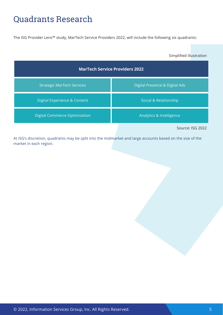## <span id="page-4-0"></span>Quadrants Research

The ISG Provider Lens™ study, MarTech Service Providers 2022, will include the following six quadrants:

Simplified illustration

| <b>MarTech Service Providers 2022</b> |                                |
|---------------------------------------|--------------------------------|
| <b>Strategic MarTech Services</b>     | Digital Presence & Digital Ads |
| Digital Experience & Content          | Social & Relationship          |
| <b>Digital Commerce Optimization</b>  | Analytics & Intelligence       |
|                                       | Source: ISG 2022               |

At ISG's discretion, quadrants may be split into the midmarket and large accounts based on the size of the market in each region.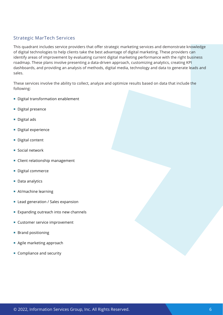### Strategic MarTech Services

This quadrant includes service providers that offer strategic marketing services and demonstrate knowledge of digital technologies to help clients take the best advantage of digital marketing. These providers can identify areas of improvement by evaluating current digital marketing performance with the right business roadmap. These plans involve presenting a data-driven approach, customizing analytics, creating KPI dashboards, and providing an analysis of methods, digital media, technology and data to generate leads and sales.

These services involve the ability to collect, analyze and optimize results based on data that include the following:

- Digital transformation enablement
- **Digital presence**
- Digital ads
- Digital experience
- **Digital content**
- Social network
- **Client relationship management**
- Digital commerce
- Data analytics
- **AI/machine learning**
- **Lead generation / Sales expansion**
- **Expanding outreach into new channels**
- **Customer service improvement**
- **Brand positioning**
- Agile marketing approach
- Compliance and security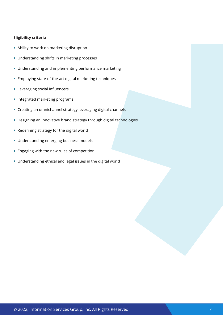- **Ability to work on marketing disruption**
- **Understanding shifts in marketing processes**
- **Understanding and implementing performance marketing**
- **Employing state-of-the-art digital marketing techniques**
- **Leveraging social influencers**
- **Integrated marketing programs**
- Creating an omnichannel strategy leveraging digital channels
- Designing an innovative brand strategy through digital technologies
- Redefining strategy for the digital world
- **Understanding emerging business models**
- **Engaging with the new rules of competition**
- Understanding ethical and legal issues in the digital world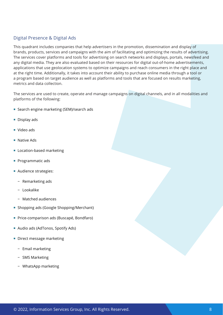### Digital Presence & Digital Ads

This quadrant includes companies that help advertisers in the promotion, dissemination and display of brands, products, services and campaigns with the aim of facilitating and optimizing the results of advertising. The services cover platforms and tools for advertising on search networks and displays, portals, newsfeed and any digital media. They are also evaluated based on their resources for digital out-of-home advertisements, applications that use geolocation systems to optimize campaigns and reach consumers in the right place and at the right time. Additionally, it takes into account their ability to purchase online media through a tool or a program based on target audience as well as platforms and tools that are focused on results marketing, metrics and data collection.

The services are used to create, operate and manage campaigns on digital channels, and in all modalities and platforms of the following:

- Search engine marketing (SEM)/search ads
- Display ads
- Video ads
- Native Ads
- **Location-based marketing**
- **Programmatic ads**
- **Audience strategies:** 
	- − Remarketing ads
	- − Lookalike
	- − Matched audiences
- **Shopping ads (Google Shopping/Merchant)**
- **Price-comparison ads (Buscapé, Bondfaro)**
- Audio ads (AdTonos, Spotify Ads)
- **Direct message marketing** 
	- − Email marketing
	- − SMS Marketing
	- − WhatsApp marketing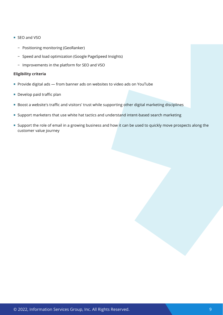- SEO and VSO
	- − Positioning monitoring (GeoRanker)
	- − Speed and load optimization (Google PageSpeed Insights)
	- − Improvements in the platform for SEO and VSO

- Provide digital ads from banner ads on websites to video ads on YouTube
- **Develop paid traffic plan**
- Boost a website's traffic and visitors' trust while supporting other digital marketing disciplines
- Support marketers that use white hat tactics and understand intent-based search marketing
- Support the role of email in a growing business and how it can be used to quickly move prospects along the customer value journey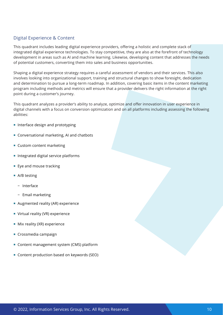### Digital Experience & Content

This quadrant includes leading digital experience providers, offering a holistic and complete stack of integrated digital experience technologies. To stay competitive, they are also at the forefront of technology development in areas such as AI and machine learning. Likewise, developing content that addresses the needs of potential customers, converting them into sales and business opportunities.

Shaping a digital experience strategy requires a careful assessment of vendors and their services. This also involves looking into organizational support, training and structural changes to show foresight, dedication and determination to pursue a long-term roadmap. In addition, covering basic items in the content marketing program including methods and metrics will ensure that a provider delivers the right information at the right point during a customer's journey.

This quadrant analyzes a provider's ability to analyze, optimize and offer innovation in user experience in digital channels with a focus on conversion optimization and on all platforms including assessing the following abilities:

- **Interface design and prototyping**
- Conversational marketing, AI and chatbots
- Custom content marketing
- $\blacksquare$  Integrated digital service platforms
- **Eye and mouse tracking**
- A/B testing
	- − Interface
	- − Email marketing
- Augmented reality (AR) experience
- **Virtual reality (VR) experience**
- **Mix reality (XR) experience**
- Crossmedia campaign
- Content management system (CMS) platform
- Content production based on keywords (SEO)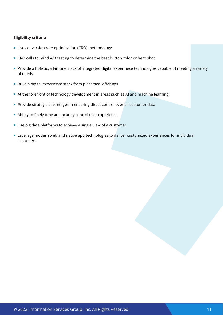- Use conversion rate optimization (CRO) methodology
- **CRO calls to mind A/B testing to determine the best button color or hero shot**
- **Provide a holistic, all-in-one stack of integrated digital experinece technologies capable of meeting a variety** of needs
- Build a digital experience stack from piecemeal offerings
- At the forefront of technology development in areas such as AI and machine learning
- **Provide strategic advantages in ensuring direct control over all customer data**
- Ability to finely tune and acutely control user experience
- Use big data platforms to achieve a single view of a customer
- **EXECTED EXECTED EXECTED** Leverage modern web and native app technologies to deliver customized experiences for individual customers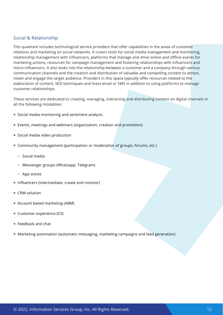### Social & Relationship

This quadrant includes technological service providers that offer capabilities in the areas of customer relations and marketing on social networks. It covers tools for social media management and monitoring, relationship management with influencers, platforms that manage and drive online and offline events for marketing actions, resources for campaign management and fostering relationships with influencers and micro-influencers. It also looks into the relationship between a customer and a company through various communication channels and the creation and distribution of valuable and compelling content to attract, retain and engage the target audience. Providers in this space typically offer resources related to the elaboration of content, SEO techniques and mass email or SMS in addition to using platforms to manage customer relationships.

These services are dedicated to creating, managing, interacting and distributing content on digital channels in all the following modalities:

- Social media monitoring and sentiment analysis
- Events, meetings and webinars (organization, creation and promotion)
- Social media vídeo production
- Community management (participation or moderation of groups, forums, etc.)
	- − Social media
	- − Messenger groups (Whatsapp, Telegram)
	- − App stores
- Influencers (intermediate, create and monitor)
- CRM solution
- Account based marketing (ABM)
- Customer experience (CX)
- Feedback and chat
- Marketing automation (automatic messaging, marketing campaigns and lead generation)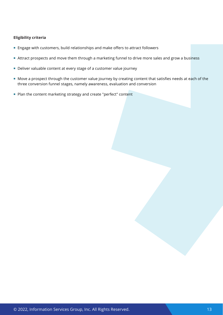- Engage with customers, build relationships and make offers to attract followers
- Attract prospects and move them through a marketing funnel to drive more sales and grow a business
- Deliver valuable content at every stage of a customer value journey
- Move a prospect through the customer value journey by creating content that satisfies needs at each of the three conversion funnel stages, namely awareness, evaluation and conversion
- Plan the content marketing strategy and create "perfect" content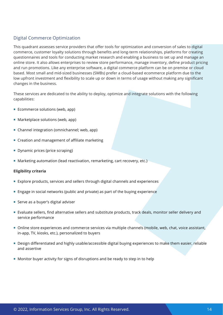### Digital Commerce Optimization

This quadrant assesses service providers that offer tools for optimization and conversion of sales to digital commerce, customer loyalty solutions through benefits and long-term relationships, platforms for creating questionnaires and tools for conducting market research and enabling a business to set up and manage an online store. It also allows enterprises to review store performance, manage inventory, define product pricing and run promotions. Like any enterprise software, a digital commerce platform can be on premise or cloud based. Most small and mid-sized businesses (SMBs) prefer a cloud-based ecommerce platform due to the low upfront investment and flexibility to scale up or down in terms of usage without making any significant changes in the business.

These services are dedicated to the ability to deploy, optimize and integrate solutions with the following capabilities:

- Ecommerce solutions (web, app)
- **Marketplace solutions (web, app)**
- Channel integration (omnichannel; web, app)
- Creation and management of affiliate marketing
- Dynamic prices (price scraping)
- Marketing automation (lead reactivation, remarketing, cart recovery, etc.)

- Explore products, services and sellers through digital channels and experiences
- Engage in social networks (public and private) as part of the buying experience
- Serve as a buyer's digital adviser
- Evaluate sellers, find alternative sellers and substitute products, track deals, monitor seller delivery and service performance
- Online store experiences and commerce services via multiple channels (mobile, web, chat, voice assistant, in-app, TV, kiosks, etc.), personalized to buyers
- Design differentiated and highly usable/accessible digital buying experiences to make them easier, reliable and assertive
- **Monitor buyer activity for signs of disruptions and be ready to step in to help**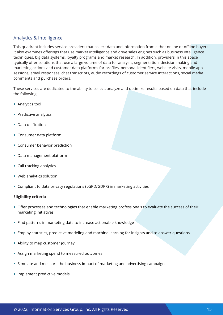### Analytics & Intelligence

This quadrant includes service providers that collect data and information from either online or offline buyers. It also examines offerings that use market intelligence and drive sales engines such as business intelligence techniques, big data systems, loyalty programs and market research. In addition, providers in this space typically offer solutions that use a large volume of data for analysis, segmentation, decision making and marketing actions and customer data platforms for profiles, personal identifiers, website visits, mobile app sessions, email responses, chat transcripts, audio recordings of customer service interactions, social media comments and purchase orders.

These services are dedicated to the ability to collect, analyze and optimize results based on data that include the following:

- **Analytics tool**
- $\blacksquare$  Predictive analytics
- Data unification
- Consumer data platform
- **Consumer behavior prediction**
- Data management platform
- Call tracking analytics
- Web analytics solution
- Compliant to data privacy regulations (LGPD/GDPR) in marketing activities

- Offer processes and technologies that enable marketing professionals to evaluate the success of their marketing initiatives
- **Find patterns in marketing data to increase actionable knowledge**
- Employ statistics, predictive modeling and machine learning for insights and to answer questions
- **Ability to map customer journey**
- Assign marketing spend to measured outcomes
- **Simulate and measure the business impact of marketing and advertising campaigns**
- **Implement predictive models**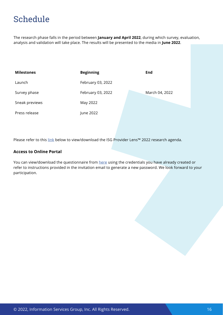# <span id="page-15-0"></span>Schedule

The research phase falls in the period between **January and April 2022**, during which survey, evaluation, analysis and validation will take place. The results will be presented to the media in **June 2022**.

| <b>Milestones</b> | <b>Beginning</b>  | End            |
|-------------------|-------------------|----------------|
| Launch            | February 03, 2022 |                |
| Survey phase      | February 03, 2022 | March 04, 2022 |
| Sneak previews    | May 2022          |                |
| Press release     | June 2022         |                |

Please refer to this [link](https://isg-one.com/docs/default-source/default-document-library/ipl_annual_plan_2022.pdf) below to view/download the ISG Provider Lens™ 2022 research agenda.

#### **Access to Online Portal**

You can view/download the questionnaire from [here](https://iplportal.isg-one.com/login) using the credentials you have already created or refer to instructions provided in the invitation email to generate a new password. We look forward to your participation.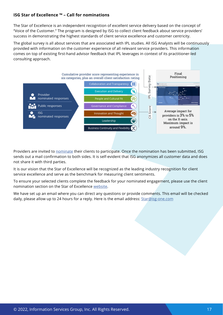### **ISG Star of Excellence ™ – Call for nominations**

The Star of Excellence is an independent recognition of excellent service delivery based on the concept of "Voice of the Customer." The program is designed by ISG to collect client feedback about service providers' success in demonstrating the highest standards of client service excellence and customer centricity.

The global survey is all about services that are associated with IPL studies. All ISG Analysts will be continuously provided with information on the customer experience of all relevant service providers. This information comes on top of existing first-hand advisor feedback that IPL leverages in context of its practitioner-led consulting approach.



Providers are invited to [nominate](https://isg-one.com/providers/star-of-excellence/nominate) their clients to participate. Once the nomination has been submitted, ISG sends out a mail confirmation to both sides. It is self-evident that ISG anonymizes all customer data and does not share it with third parties.

It is our vision that the Star of Excellence will be recognized as the leading industry recognition for client service excellence and serve as the benchmark for measuring client sentiments.

To ensure your selected clients complete the feedback for your nominated engagement, please use the client nomination section on the Star of Excellence [website.](https://isg-one.com/providers/star-of-excellence)

We have set up an email where you can direct any questions or provide comments. This email will be checked daily, please allow up to 24 hours for a reply. Here is the email address: [Star@isg-one.com](mailto:Star%40isg-one.com?subject=Star%40isg-one.com)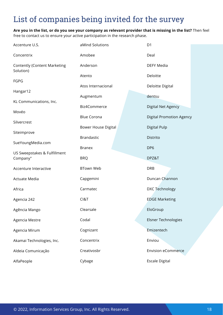<span id="page-17-0"></span>**Are you in the list, or do you see your company as relevant provider that is missing in the list?** Then feel free to contact us to ensure your active participation in the research phase.

| Accenture U.S.                                   | aMind Solutions            | D <sub>1</sub>                  |
|--------------------------------------------------|----------------------------|---------------------------------|
| Concentrix                                       | Amobee                     | Deal                            |
| <b>Contently (Content Marketing</b><br>Solution) | Anderson                   | <b>DEFY Media</b>               |
| <b>FGPG</b>                                      | Atento                     | Deloitte                        |
|                                                  | Atos Internacional         | Deloitte Digital                |
| Hangar12                                         | Augmentum                  | dentsu                          |
| KL Communications, Inc.                          | Biz4Commerce               | Digital Net Agency              |
| Movéo                                            | <b>Blue Corona</b>         | <b>Digital Promotion Agency</b> |
| Silvercrest                                      | <b>Bower House Digital</b> | <b>Digital Pulp</b>             |
| Siteimprove                                      | <b>Brandastic</b>          | Distrito                        |
| SueYoungMedia.com                                | <b>Branex</b>              | DP <sub>6</sub>                 |
| US Sweepstakes & Fulfillment<br>Company"         | <b>BRQ</b>                 | DPZ&T                           |
| Accenture Interactive                            | <b>BTown Web</b>           | <b>DRB</b>                      |
| Actuate Media                                    | Capgemini                  | Duncan Channon                  |
| Africa                                           | Carmatec                   | DXC Technology                  |
| Agencia 242                                      | CI&T                       | <b>EDGE Marketing</b>           |
| Agência Mango                                    | Clearsale                  | EloGroup                        |
| Agencia Mestre                                   | Codal                      | <b>Elsner Technologies</b>      |
| Agencia Mirum                                    | Cognizant                  | Emizentech                      |
| Akamai Technologies, Inc.                        | Concentrix                 | Enviou                          |
| Aldeia Comunicação                               | Creativosbr                | <b>Envision eCommerce</b>       |
|                                                  |                            |                                 |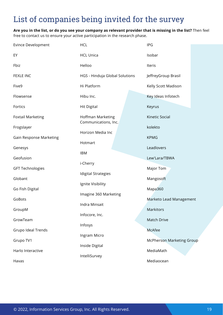**Are you in the list, or do you see your company as relevant provider that is missing in the list?** Then feel

free to contact us to ensure your active participation in the research phase.

| <b>Evince Development</b> | <b>HCL</b>                                | IPG                              |
|---------------------------|-------------------------------------------|----------------------------------|
| EY                        | <b>HCL Unica</b>                          | Isobar                           |
| Fbiz                      | Helloo                                    | <b>Iteris</b>                    |
| <b>FEXLE INC</b>          | HGS - Hinduja Global Solutions            | JeffreyGroup Brasil              |
| Five9                     | Hi Platform                               | Kelly Scott Madison              |
| Flowsense                 | Hibu Inc.                                 | Key Ideas Infotech               |
| Fortics                   | <b>Hit Digital</b>                        | Keyrus                           |
| <b>Foxtail Marketing</b>  | Hoffman Marketing<br>Communications, Inc. | Kinetic Social                   |
| Frogslayer                | Horizon Media Inc                         | kolekto                          |
| Gain Response Marketing   | Hotmart                                   | <b>KPMG</b>                      |
| Genesys                   | <b>IBM</b>                                | Leadlovers                       |
| Geofusion                 | i-Cherry                                  | Lew'Lara/TBWA                    |
| <b>GFT Technologies</b>   | <b>Idigital Strategies</b>                | Major Tom                        |
| Globant                   | Ignite Visibility                         | Mangosoft                        |
| Go Fish Digital           | Imagine 360 Marketing                     | Mapa360                          |
| GoBots                    | Indra Minsait                             | Marketo Lead Management          |
| GroupM                    | Infocore, Inc.                            | Markitors                        |
| GrowTeam                  | Infosys                                   | <b>Match Drive</b>               |
| Grupo Ideal Trends        | Ingram Micro                              | <b>McAfee</b>                    |
| Grupo TV1                 | Inside Digital                            | <b>McPherson Marketing Group</b> |
| Harlo Interactive         | IntelliSurvey                             | MediaMath                        |
| Havas                     |                                           | Mediaocean                       |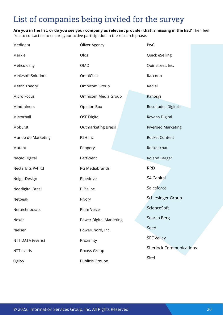**Are you in the list, or do you see your company as relevant provider that is missing in the list?** Then feel free to contact us to ensure your active participation in the research phase.

| Medidata                   | Oliver Agency                  | PwC                            |
|----------------------------|--------------------------------|--------------------------------|
| Merkle                     | Olos                           | Quick eSelling                 |
| Meticulosity               | <b>OMD</b>                     | Quinstreet, Inc.               |
| <b>Metizsoft Solutions</b> | OmniChat                       | Raccoon                        |
| Metric Theory              | Omnicom Group                  | Radial                         |
| Micro Focus                | Omnicom Media Group            | Ranosys                        |
| Mindminers                 | <b>Opinion Box</b>             | Resultados Digitais            |
| Mirrorball                 | <b>OSF Digital</b>             | Revana Digital                 |
| Moburst                    | <b>Outmarketing Brasil</b>     | <b>Riverbed Marketing</b>      |
| Mundo do Marketing         | P2H Inc                        | Rocket Content                 |
| Mutant                     | Peppery                        | Rocket.chat                    |
| Nação Digital              | Perficient                     | <b>Roland Berger</b>           |
| NectarBits Pvt ltd         | PG Mediabrands                 | <b>RRD</b>                     |
| NeigerDesign               | Pipedrive                      | S4 Capital                     |
| Neodigital Brasil          | PIP's Inc                      | Salesforce                     |
| Netpeak                    | Pivofy                         | <b>Schlesinger Group</b>       |
| Nettechnocrats             | Plum Voice                     | ScienceSoft                    |
| Nexer                      | <b>Power Digital Marketing</b> | Search Berg                    |
| Nielsen                    | PowerChord, Inc.               | Seed                           |
| NTT DATA (everis)          | Proximity                      | SEOValley                      |
| NTT everis                 | Proxys Group                   | <b>Sherlock Communications</b> |
| Ogilvy                     | Publicis Groupe                | Sitel                          |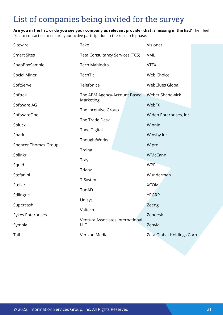**Are you in the list, or do you see your company as relevant provider that is missing in the list?** Then feel free to contact us to ensure your active participation in the research phase.

| Sitewire                    | Take                                           | Visionet                  |
|-----------------------------|------------------------------------------------|---------------------------|
| <b>Smart Sites</b>          | Tata Consultancy Services (TCS)                | <b>VML</b>                |
| SoapBoxSample               | Tech Mahindra                                  | <b>VTEX</b>               |
| <b>Social Miner</b>         | TechTic                                        | Web Choice                |
| SoftServe                   | Telefonica                                     | <b>WebClues Global</b>    |
| Softtek                     | The ABM Agency-Account Based                   | <b>Weber Shandwick</b>    |
| Software AG                 | Marketing                                      | WebFX                     |
| SoftwareOne                 | The Incentive Group                            | Widen Enterprises, Inc.   |
| Solucx                      | The Trade Desk                                 | Winnin                    |
| Spark                       | <b>Thee Digital</b>                            | Winsby Inc.               |
| <b>Spencer Thomas Group</b> | ThoughtWorks                                   | Wipro                     |
| Splinkr                     | Traina                                         | WMcCann                   |
| Squid                       | <b>Tray</b>                                    | <b>WPP</b>                |
| Stefanini                   | Trianz                                         | Wunderman                 |
| Stellar                     | T-Systems                                      | <b>XCOM</b>               |
| Stilingue                   | TunAD                                          | <b>YRGRP</b>              |
| Supercash                   | Unisys                                         | Zeeng                     |
| <b>Sykes Enterprises</b>    | Valtech                                        | Zendesk                   |
| Sympla                      | Ventura Associates International<br><b>LLC</b> | Zenvia                    |
| Tail                        | Verizon Media                                  | Zeta Global Holdings Corp |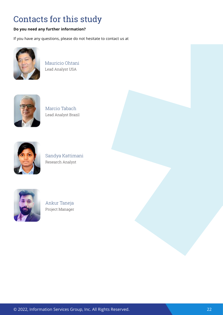# <span id="page-21-0"></span>Contacts for this study

### **Do you need any further information?**

If you have any questions, please do not hesitate to contact us at



Mauricio Ohtani Lead Analyst USA



Marcio Tabach Lead Analyst Brazil



Sandya Kattimani Research Analyst



Ankur Taneja Project Manager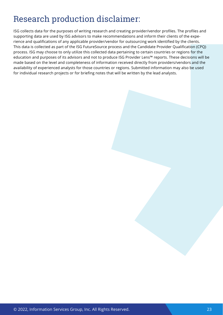# Research production disclaimer:

ISG collects data for the purposes of writing research and creating provider/vendor profiles. The profiles and supporting data are used by ISG advisors to make recommendations and inform their clients of the experience and qualifications of any applicable provider/vendor for outsourcing work identified by the clients. This data is collected as part of the ISG FutureSource process and the Candidate Provider Qualification (CPQ) process. ISG may choose to only utilize this collected data pertaining to certain countries or regions for the education and purposes of its advisors and not to produce ISG Provider Lens™ reports. These decisions will be made based on the level and completeness of information received directly from providers/vendors and the availability of experienced analysts for those countries or regions. Submitted information may also be used for individual research projects or for briefing notes that will be written by the lead analysts.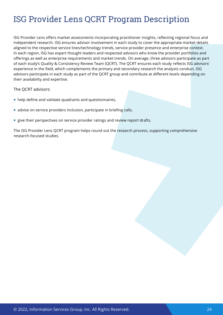# ISG Provider Lens QCRT Program Description

ISG Provider Lens offers market assessments incorporating practitioner insights, reflecting regional focus and independent research. ISG ensures advisor involvement in each study to cover the appropriate market details aligned to the respective service lines/technology trends, service provider presence and enterprise context. In each region, ISG has expert thought leaders and respected advisors who know the provider portfolios and offerings as well as enterprise requirements and market trends. On average, three advisors participate as part of each study's Quality & Consistency Review Team (QCRT). The QCRT ensures each study reflects ISG advisors' experience in the field, which complements the primary and secondary research the analysts conduct. ISG advisors participate in each study as part of the QCRT group and contribute at different levels depending on their availability and expertise.

The QCRT advisors:

- help define and validate quadrants and questionnaires,
- advise on service providers inclusion, participate in briefing calls,
- **give their perspectives on service provider ratings and review report drafts.**

The ISG Provider Lens QCRT program helps round out the research process, supporting comprehensive research-focused studies.